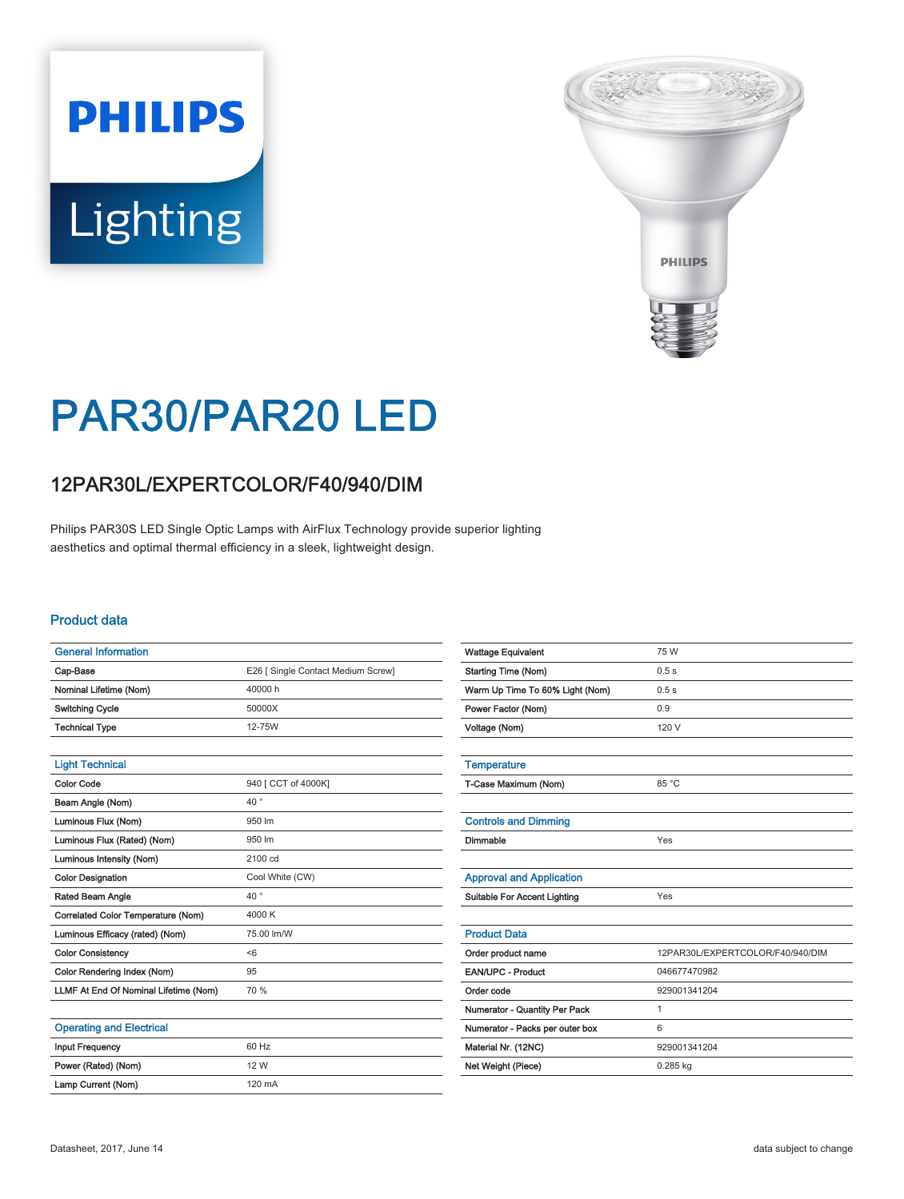# **PHILIPS Lighting**



## PAR30/PAR20 LED

### 12PAR30L/EXPERTCOLOR/F40/940/DIM

Philips PAR30S LED Single Optic Lamps with AirFlux Technology provide superior lighting aesthetics and optimal thermal efficiency in a sleek, lightweight design.

#### Product data

| <b>General Information</b>            |                                    |
|---------------------------------------|------------------------------------|
| Cap-Base                              | E26   Single Contact Medium Screw] |
| Nominal Lifetime (Nom)                | 40000 h                            |
| <b>Switching Cycle</b>                | 50000X                             |
| <b>Technical Type</b>                 | 12-75W                             |
|                                       |                                    |
| <b>Light Technical</b>                |                                    |
| <b>Color Code</b>                     | 940 [ CCT of 4000K]                |
| Beam Angle (Nom)                      | $40^{\circ}$                       |
| Luminous Flux (Nom)                   | 950 lm                             |
| Luminous Flux (Rated) (Nom)           | 950 lm                             |
| Luminous Intensity (Nom)              | 2100 cd                            |
| <b>Color Designation</b>              | Cool White (CW)                    |
| Rated Beam Angle                      | $40^{\circ}$                       |
| Correlated Color Temperature (Nom)    | 4000 K                             |
| Luminous Efficacy (rated) (Nom)       | 75.00 lm/W                         |
| <b>Color Consistency</b>              | < 6                                |
| Color Rendering Index (Nom)           | 95                                 |
| LLMF At End Of Nominal Lifetime (Nom) | 70 %                               |
|                                       |                                    |
| <b>Operating and Electrical</b>       |                                    |
| <b>Input Frequency</b>                | 60 Hz                              |
| Power (Rated) (Nom)                   | 12 W                               |

| <b>Wattage Equivalent</b>           | 75 W                             |
|-------------------------------------|----------------------------------|
| <b>Starting Time (Nom)</b>          | 0.5s                             |
| Warm Up Time To 60% Light (Nom)     | 0.5s                             |
| Power Factor (Nom)                  | 0.9                              |
| Voltage (Nom)                       | 120 V                            |
|                                     |                                  |
| <b>Temperature</b>                  |                                  |
| T-Case Maximum (Nom)                | 85 °C                            |
|                                     |                                  |
| <b>Controls and Dimming</b>         |                                  |
| Dimmable                            | Yes                              |
|                                     |                                  |
| <b>Approval and Application</b>     |                                  |
| <b>Suitable For Accent Lighting</b> | Yes                              |
|                                     |                                  |
| <b>Product Data</b>                 |                                  |
| Order product name                  | 12PAR30L/EXPERTCOLOR/F40/940/DIM |
| <b>EAN/UPC - Product</b>            | 046677470982                     |
| Order code                          | 929001341204                     |
| Numerator - Quantity Per Pack       | $\mathbf{1}$                     |
| Numerator - Packs per outer box     | 6                                |
| Material Nr. (12NC)                 | 929001341204                     |
| Net Weight (Piece)                  | $0.285$ kg                       |
|                                     |                                  |

Lamp Current (Nom) 120 mA